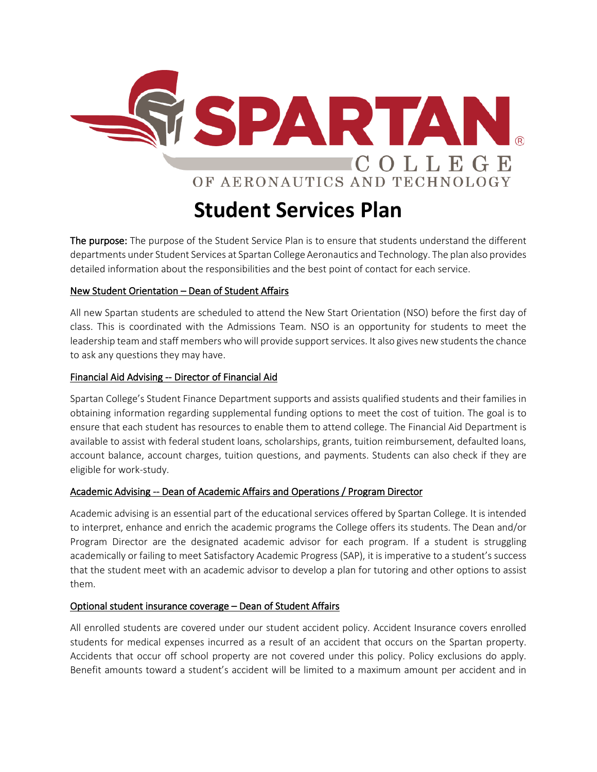

The purpose: The purpose of the Student Service Plan is to ensure that students understand the different departments under Student Services at Spartan College Aeronautics and Technology. The plan also provides detailed information about the responsibilities and the best point of contact for each service.

### New Student Orientation – Dean of Student Affairs

All new Spartan students are scheduled to attend the New Start Orientation (NSO) before the first day of class. This is coordinated with the Admissions Team. NSO is an opportunity for students to meet the leadership team and staff members who will provide support services. It also gives new students the chance to ask any questions they may have.

### Financial Aid Advising -- Director of Financial Aid

Spartan College's Student Finance Department supports and assists qualified students and their families in obtaining information regarding supplemental funding options to meet the cost of tuition. The goal is to ensure that each student has resources to enable them to attend college. The Financial Aid Department is available to assist with federal student loans, scholarships, grants, tuition reimbursement, defaulted loans, account balance, account charges, tuition questions, and payments. Students can also check if they are eligible for work-study.

# Academic Advising -- Dean of Academic Affairs and Operations / Program Director

Academic advising is an essential part of the educational services offered by Spartan College. It is intended to interpret, enhance and enrich the academic programs the College offers its students. The Dean and/or Program Director are the designated academic advisor for each program. If a student is struggling academically or failing to meet Satisfactory Academic Progress (SAP), it is imperative to a student's success that the student meet with an academic advisor to develop a plan for tutoring and other options to assist them.

# Optional student insurance coverage – Dean of Student Affairs

All enrolled students are covered under our student accident policy. Accident Insurance covers enrolled students for medical expenses incurred as a result of an accident that occurs on the Spartan property. Accidents that occur off school property are not covered under this policy. Policy exclusions do apply. Benefit amounts toward a student's accident will be limited to a maximum amount per accident and in